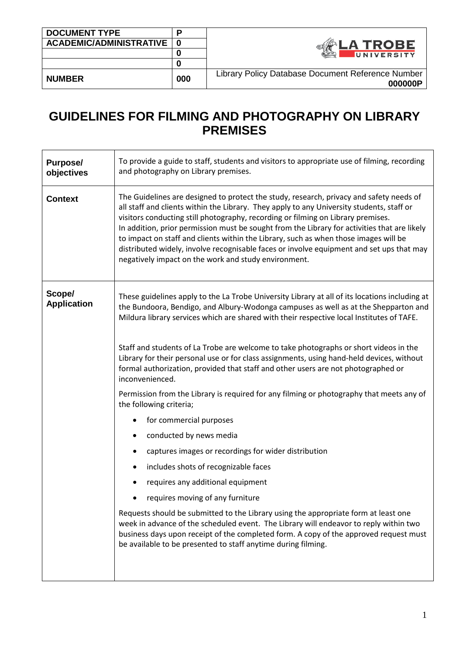| <b>DOCUMENT TYPE</b>        |     |                                                   |
|-----------------------------|-----|---------------------------------------------------|
| ACADEMIC/ADMINISTRATIVE   0 |     | <b>A TROBE</b>                                    |
|                             |     | UNIVERSITY                                        |
|                             |     |                                                   |
| <b>NUMBER</b>               | 000 | Library Policy Database Document Reference Number |
|                             |     | 000000P                                           |

## **GUIDELINES FOR FILMING AND PHOTOGRAPHY ON LIBRARY PREMISES**

| <b>Purpose/</b><br>objectives | To provide a guide to staff, students and visitors to appropriate use of filming, recording<br>and photography on Library premises.                                                                                                                                                                                                                                                                                                                                                                                                                                                                                                                                                                                                                                                                                                                                                                                                                                                                                                                                                                                                                                                                                                                                                   |  |  |  |
|-------------------------------|---------------------------------------------------------------------------------------------------------------------------------------------------------------------------------------------------------------------------------------------------------------------------------------------------------------------------------------------------------------------------------------------------------------------------------------------------------------------------------------------------------------------------------------------------------------------------------------------------------------------------------------------------------------------------------------------------------------------------------------------------------------------------------------------------------------------------------------------------------------------------------------------------------------------------------------------------------------------------------------------------------------------------------------------------------------------------------------------------------------------------------------------------------------------------------------------------------------------------------------------------------------------------------------|--|--|--|
| <b>Context</b>                | The Guidelines are designed to protect the study, research, privacy and safety needs of<br>all staff and clients within the Library. They apply to any University students, staff or<br>visitors conducting still photography, recording or filming on Library premises.<br>In addition, prior permission must be sought from the Library for activities that are likely<br>to impact on staff and clients within the Library, such as when those images will be<br>distributed widely, involve recognisable faces or involve equipment and set ups that may<br>negatively impact on the work and study environment.                                                                                                                                                                                                                                                                                                                                                                                                                                                                                                                                                                                                                                                                  |  |  |  |
| Scope/<br><b>Application</b>  | These guidelines apply to the La Trobe University Library at all of its locations including at<br>the Bundoora, Bendigo, and Albury-Wodonga campuses as well as at the Shepparton and<br>Mildura library services which are shared with their respective local Institutes of TAFE.<br>Staff and students of La Trobe are welcome to take photographs or short videos in the<br>Library for their personal use or for class assignments, using hand-held devices, without<br>formal authorization, provided that staff and other users are not photographed or<br>inconvenienced.<br>Permission from the Library is required for any filming or photography that meets any of<br>the following criteria;<br>for commercial purposes<br>conducted by news media<br>٠<br>captures images or recordings for wider distribution<br>includes shots of recognizable faces<br>requires any additional equipment<br>requires moving of any furniture<br>Requests should be submitted to the Library using the appropriate form at least one<br>week in advance of the scheduled event. The Library will endeavor to reply within two<br>business days upon receipt of the completed form. A copy of the approved request must<br>be available to be presented to staff anytime during filming. |  |  |  |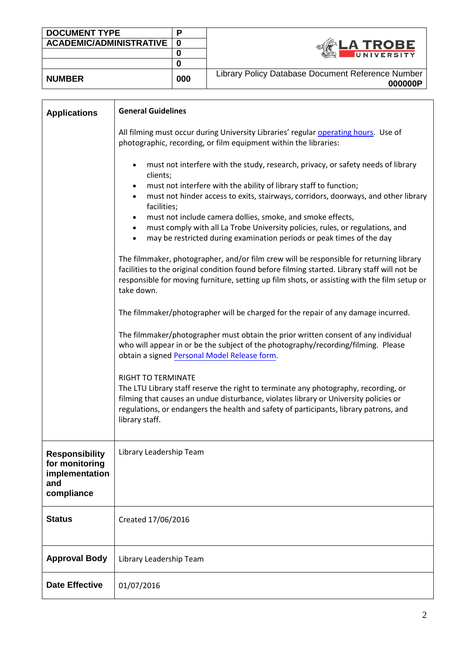| <b>DOCUMENT TYPE</b>        | D   |                                                   |
|-----------------------------|-----|---------------------------------------------------|
| ACADEMIC/ADMINISTRATIVE   0 |     | <b>_A TROBE</b>                                   |
|                             |     | UNIVERSITY                                        |
|                             |     |                                                   |
| <b>NUMBER</b>               | 000 | Library Policy Database Document Reference Number |
|                             |     | 000000P                                           |

| <b>Applications</b>                                                     | <b>General Guidelines</b>                                                                                                                                                                                                                                                                                                                                                                                                                                                                                                                                                                                                                                                                                                                                                                                                                                                                                                                                                                                                                                                                                                                                                                                                                                                                                                                                                                                                                                                                     |  |  |  |  |
|-------------------------------------------------------------------------|-----------------------------------------------------------------------------------------------------------------------------------------------------------------------------------------------------------------------------------------------------------------------------------------------------------------------------------------------------------------------------------------------------------------------------------------------------------------------------------------------------------------------------------------------------------------------------------------------------------------------------------------------------------------------------------------------------------------------------------------------------------------------------------------------------------------------------------------------------------------------------------------------------------------------------------------------------------------------------------------------------------------------------------------------------------------------------------------------------------------------------------------------------------------------------------------------------------------------------------------------------------------------------------------------------------------------------------------------------------------------------------------------------------------------------------------------------------------------------------------------|--|--|--|--|
|                                                                         | All filming must occur during University Libraries' regular operating hours. Use of<br>photographic, recording, or film equipment within the libraries:                                                                                                                                                                                                                                                                                                                                                                                                                                                                                                                                                                                                                                                                                                                                                                                                                                                                                                                                                                                                                                                                                                                                                                                                                                                                                                                                       |  |  |  |  |
|                                                                         | must not interfere with the study, research, privacy, or safety needs of library<br>$\bullet$<br>clients;<br>must not interfere with the ability of library staff to function;<br>$\bullet$<br>must not hinder access to exits, stairways, corridors, doorways, and other library<br>$\bullet$<br>facilities;<br>must not include camera dollies, smoke, and smoke effects,<br>$\bullet$<br>must comply with all La Trobe University policies, rules, or regulations, and<br>$\bullet$<br>may be restricted during examination periods or peak times of the day<br>The filmmaker, photographer, and/or film crew will be responsible for returning library<br>facilities to the original condition found before filming started. Library staff will not be<br>responsible for moving furniture, setting up film shots, or assisting with the film setup or<br>take down.<br>The filmmaker/photographer will be charged for the repair of any damage incurred.<br>The filmmaker/photographer must obtain the prior written consent of any individual<br>who will appear in or be the subject of the photography/recording/filming. Please<br>obtain a signed Personal Model Release form.<br><b>RIGHT TO TERMINATE</b><br>The LTU Library staff reserve the right to terminate any photography, recording, or<br>filming that causes an undue disturbance, violates library or University policies or<br>regulations, or endangers the health and safety of participants, library patrons, and |  |  |  |  |
| Responsibility<br>for monitoring<br>implementation<br>and<br>compliance | Library Leadership Team                                                                                                                                                                                                                                                                                                                                                                                                                                                                                                                                                                                                                                                                                                                                                                                                                                                                                                                                                                                                                                                                                                                                                                                                                                                                                                                                                                                                                                                                       |  |  |  |  |
| <b>Status</b>                                                           | Created 17/06/2016                                                                                                                                                                                                                                                                                                                                                                                                                                                                                                                                                                                                                                                                                                                                                                                                                                                                                                                                                                                                                                                                                                                                                                                                                                                                                                                                                                                                                                                                            |  |  |  |  |
| <b>Approval Body</b>                                                    | Library Leadership Team                                                                                                                                                                                                                                                                                                                                                                                                                                                                                                                                                                                                                                                                                                                                                                                                                                                                                                                                                                                                                                                                                                                                                                                                                                                                                                                                                                                                                                                                       |  |  |  |  |
| <b>Date Effective</b>                                                   | 01/07/2016                                                                                                                                                                                                                                                                                                                                                                                                                                                                                                                                                                                                                                                                                                                                                                                                                                                                                                                                                                                                                                                                                                                                                                                                                                                                                                                                                                                                                                                                                    |  |  |  |  |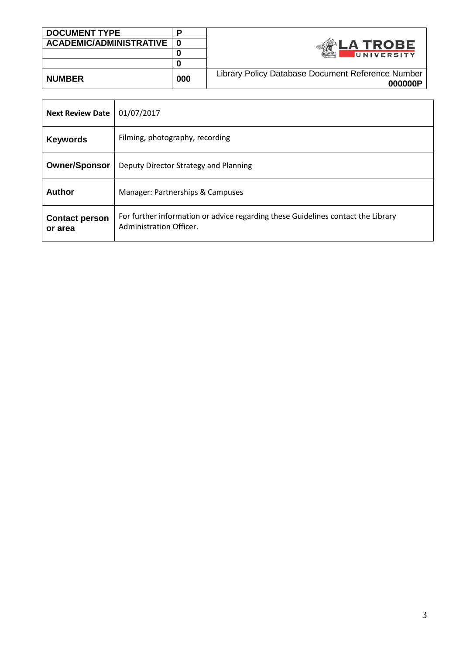| <b>DOCUMENT TYPE</b>        | Ð   |                                                   |
|-----------------------------|-----|---------------------------------------------------|
| ACADEMIC/ADMINISTRATIVE   0 |     | <b>LA TROBE</b>                                   |
|                             |     | UNIVERSITY                                        |
|                             |     |                                                   |
| <b>NUMBER</b>               | 000 | Library Policy Database Document Reference Number |
|                             |     | 000000P                                           |

| <b>Next Review Date</b>          | 01/07/2017                                                                                                  |
|----------------------------------|-------------------------------------------------------------------------------------------------------------|
| <b>Keywords</b>                  | Filming, photography, recording                                                                             |
| <b>Owner/Sponsor</b>             | Deputy Director Strategy and Planning                                                                       |
| <b>Author</b>                    | Manager: Partnerships & Campuses                                                                            |
| <b>Contact person</b><br>or area | For further information or advice regarding these Guidelines contact the Library<br>Administration Officer. |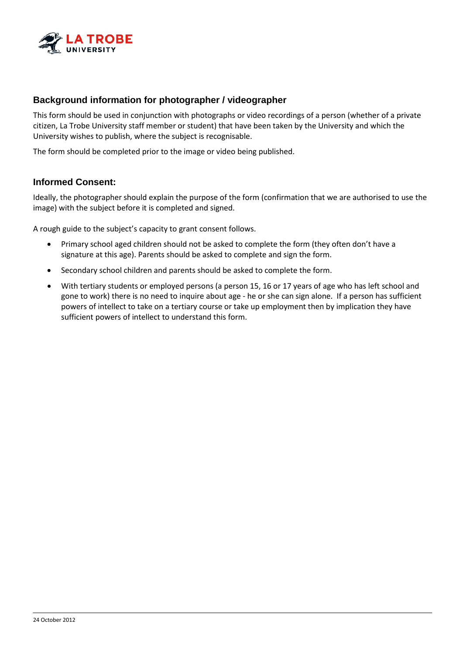

## **Background information for photographer / videographer**

This form should be used in conjunction with photographs or video recordings of a person (whether of a private citizen, La Trobe University staff member or student) that have been taken by the University and which the University wishes to publish, where the subject is recognisable.

The form should be completed prior to the image or video being published.

## **Informed Consent:**

Ideally, the photographer should explain the purpose of the form (confirmation that we are authorised to use the image) with the subject before it is completed and signed.

A rough guide to the subject's capacity to grant consent follows.

- Primary school aged children should not be asked to complete the form (they often don't have a signature at this age). Parents should be asked to complete and sign the form.
- Secondary school children and parents should be asked to complete the form.
- With tertiary students or employed persons (a person 15, 16 or 17 years of age who has left school and gone to work) there is no need to inquire about age - he or she can sign alone. If a person has sufficient powers of intellect to take on a tertiary course or take up employment then by implication they have sufficient powers of intellect to understand this form.